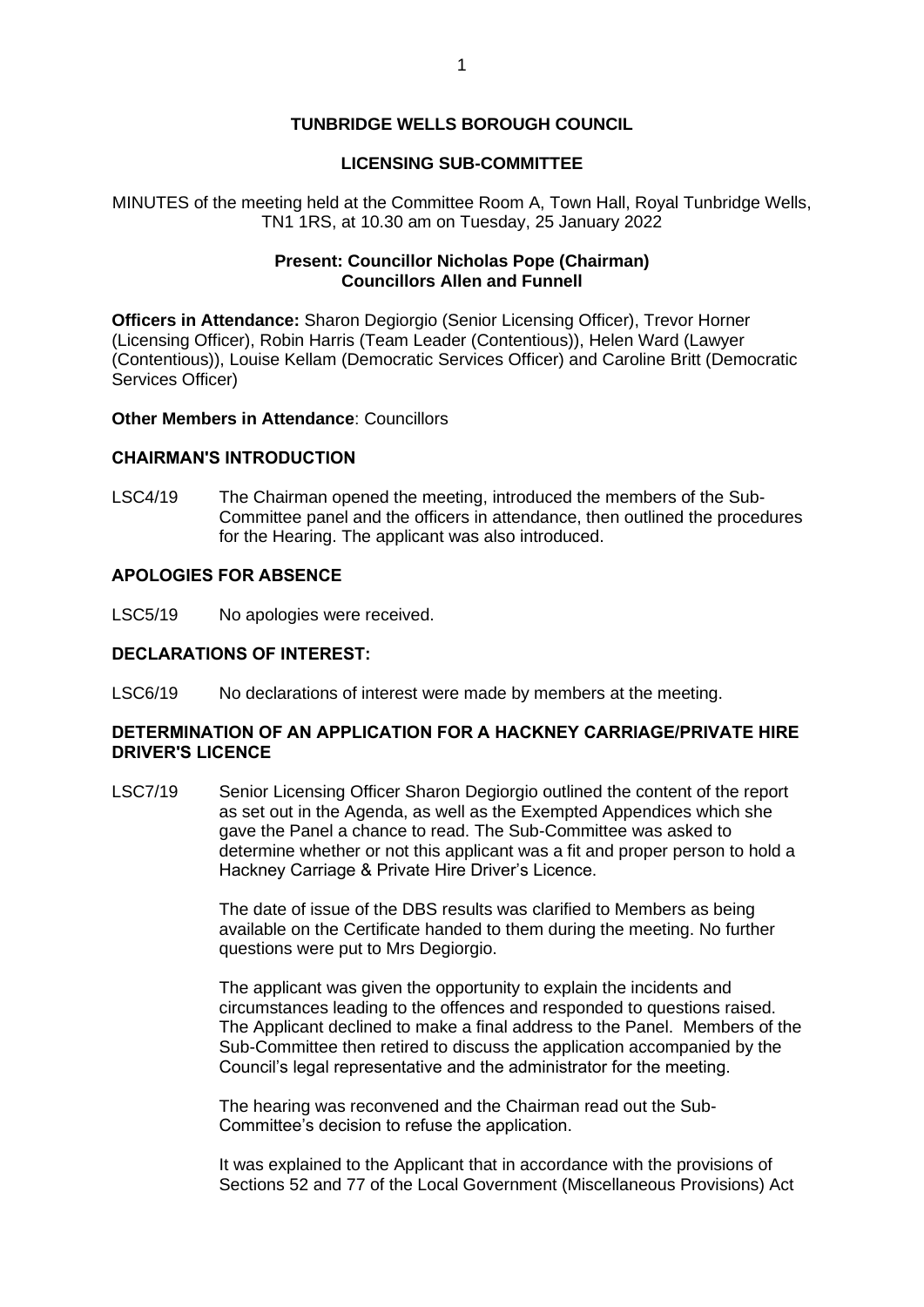# **TUNBRIDGE WELLS BOROUGH COUNCIL**

# **LICENSING SUB-COMMITTEE**

MINUTES of the meeting held at the Committee Room A, Town Hall, Royal Tunbridge Wells, TN1 1RS, at 10.30 am on Tuesday, 25 January 2022

# **Present: Councillor Nicholas Pope (Chairman) Councillors Allen and Funnell**

**Officers in Attendance:** Sharon Degiorgio (Senior Licensing Officer), Trevor Horner (Licensing Officer), Robin Harris (Team Leader (Contentious)), Helen Ward (Lawyer (Contentious)), Louise Kellam (Democratic Services Officer) and Caroline Britt (Democratic Services Officer)

#### **Other Members in Attendance: Councillors**

### **CHAIRMAN'S INTRODUCTION**

LSC4/19 The Chairman opened the meeting, introduced the members of the Sub-Committee panel and the officers in attendance, then outlined the procedures for the Hearing. The applicant was also introduced.

# **APOLOGIES FOR ABSENCE**

LSC5/19 No apologies were received.

# **DECLARATIONS OF INTEREST:**

LSC6/19 No declarations of interest were made by members at the meeting.

### **DETERMINATION OF AN APPLICATION FOR A HACKNEY CARRIAGE/PRIVATE HIRE DRIVER'S LICENCE**

LSC7/19 Senior Licensing Officer Sharon Degiorgio outlined the content of the report as set out in the Agenda, as well as the Exempted Appendices which she gave the Panel a chance to read. The Sub-Committee was asked to determine whether or not this applicant was a fit and proper person to hold a Hackney Carriage & Private Hire Driver's Licence.

> The date of issue of the DBS results was clarified to Members as being available on the Certificate handed to them during the meeting. No further questions were put to Mrs Degiorgio.

The applicant was given the opportunity to explain the incidents and circumstances leading to the offences and responded to questions raised. The Applicant declined to make a final address to the Panel. Members of the Sub-Committee then retired to discuss the application accompanied by the Council's legal representative and the administrator for the meeting.

The hearing was reconvened and the Chairman read out the Sub-Committee's decision to refuse the application.

It was explained to the Applicant that in accordance with the provisions of Sections 52 and 77 of the Local Government (Miscellaneous Provisions) Act